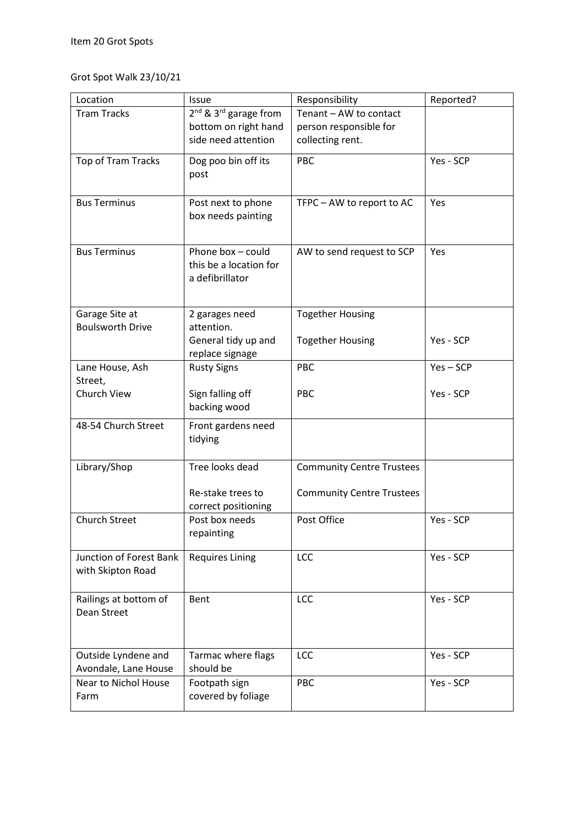## Grot Spot Walk 23/10/21

| Location                       | Issue                                         | Responsibility                   | Reported?   |
|--------------------------------|-----------------------------------------------|----------------------------------|-------------|
| <b>Tram Tracks</b>             | 2 <sup>nd</sup> & 3 <sup>rd</sup> garage from | Tenant - AW to contact           |             |
|                                | bottom on right hand                          | person responsible for           |             |
|                                | side need attention                           | collecting rent.                 |             |
| Top of Tram Tracks             | Dog poo bin off its                           | PBC                              | Yes - SCP   |
|                                | post                                          |                                  |             |
|                                |                                               |                                  |             |
| <b>Bus Terminus</b>            | Post next to phone                            | TFPC - AW to report to AC        | Yes         |
|                                | box needs painting                            |                                  |             |
|                                |                                               |                                  |             |
| <b>Bus Terminus</b>            | Phone box - could                             | AW to send request to SCP        | Yes         |
|                                | this be a location for                        |                                  |             |
|                                | a defibrillator                               |                                  |             |
|                                |                                               |                                  |             |
| Garage Site at                 | 2 garages need                                | <b>Together Housing</b>          |             |
| <b>Boulsworth Drive</b>        | attention.                                    |                                  |             |
|                                | General tidy up and                           | <b>Together Housing</b>          | Yes - SCP   |
|                                | replace signage                               |                                  |             |
| Lane House, Ash                | <b>Rusty Signs</b>                            | PBC                              | $Yes - SCP$ |
| Street,                        |                                               |                                  |             |
| Church View                    | Sign falling off                              | <b>PBC</b>                       | Yes - SCP   |
|                                | backing wood                                  |                                  |             |
| 48-54 Church Street            | Front gardens need                            |                                  |             |
|                                | tidying                                       |                                  |             |
| Library/Shop                   | Tree looks dead                               | <b>Community Centre Trustees</b> |             |
|                                |                                               |                                  |             |
|                                | Re-stake trees to                             | <b>Community Centre Trustees</b> |             |
|                                | correct positioning                           |                                  |             |
| <b>Church Street</b>           | Post box needs                                | Post Office                      | Yes - SCP   |
|                                | repainting                                    |                                  |             |
| <b>Junction of Forest Bank</b> | <b>Requires Lining</b>                        | <b>LCC</b>                       | Yes - SCP   |
| with Skipton Road              |                                               |                                  |             |
|                                |                                               |                                  |             |
| Railings at bottom of          | Bent                                          | LCC                              | Yes - SCP   |
| Dean Street                    |                                               |                                  |             |
|                                |                                               |                                  |             |
|                                |                                               |                                  |             |
| Outside Lyndene and            | Tarmac where flags                            | LCC                              | Yes - SCP   |
| Avondale, Lane House           | should be                                     |                                  |             |
| Near to Nichol House           | Footpath sign                                 | PBC                              | Yes - SCP   |
| Farm                           | covered by foliage                            |                                  |             |